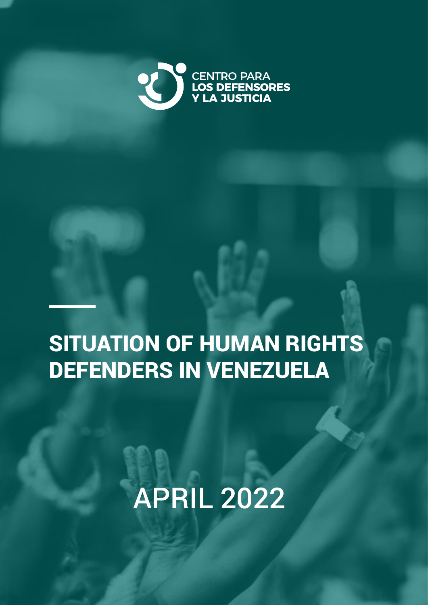

## SITUATION OF HUMAN RIGHTS DEFENDERS IN VENEZUELA

# APRIL 2022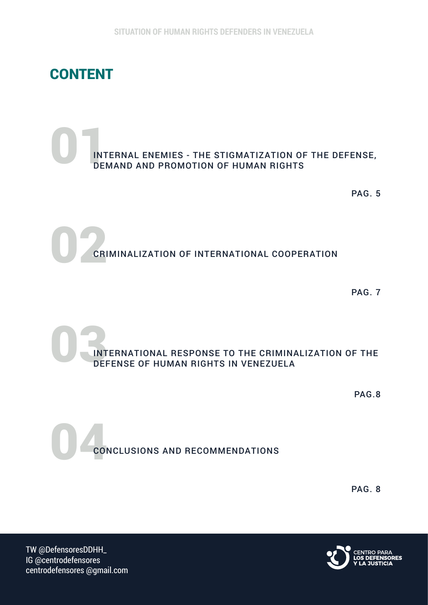

### $\begin{array}{c} \bigcap \limits_{\mathsf{INT}} \\ \mathsf{DEF} \end{array}$ INTERNAL ENEMIES - THE STIGMATIZATION OF THE DEFENSE, DEMAND AND PROMOTION OF HUMAN RIGHTS

PAG. 5

02 CRIMINALIZATION OF INTERNATIONAL COOPERATION

PAG. 7

 $\frac{1}{\sqrt{N}}$ INTERNATIONAL RESPONSE TO THE CRIMINALIZATION OF THE DEFENSE OF HUMAN RIGHTS IN VENEZUELA

PAG.8

04 CONCLUSIONS AND RECOMMENDATIONS

PAG. 8



TW @DefensoresDDHH\_ IG @centrodefensores centrodefensores @gmail.com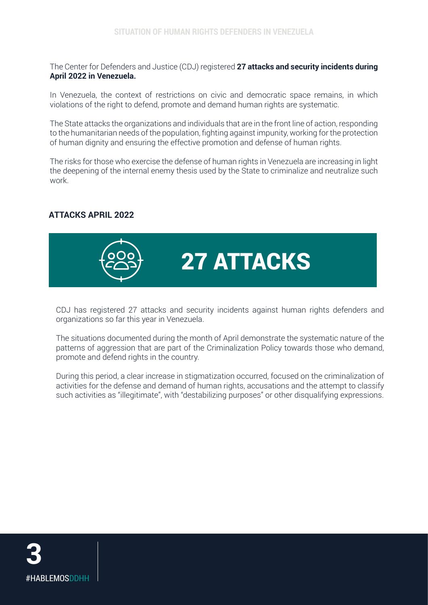The Center for Defenders and Justice (CDJ) registered **27 attacks and security incidents during April 2022 in Venezuela.**

In Venezuela, the context of restrictions on civic and democratic space remains, in which violations of the right to defend, promote and demand human rights are systematic.

The State attacks the organizations and individuals that are in the front line of action, responding to the humanitarian needs of the population, fighting against impunity, working for the protection of human dignity and ensuring the effective promotion and defense of human rights.

The risks for those who exercise the defense of human rights in Venezuela are increasing in light the deepening of the internal enemy thesis used by the State to criminalize and neutralize such work.

#### **ATTACKS APRIL 2022**



27 ATTACKS

CDJ has registered 27 attacks and security incidents against human rights defenders and organizations so far this year in Venezuela.

The situations documented during the month of April demonstrate the systematic nature of the patterns of aggression that are part of the Criminalization Policy towards those who demand, promote and defend rights in the country.

During this period, a clear increase in stigmatization occurred, focused on the criminalization of activities for the defense and demand of human rights, accusations and the attempt to classify such activities as "illegitimate", with "destabilizing purposes" or other disqualifying expressions.

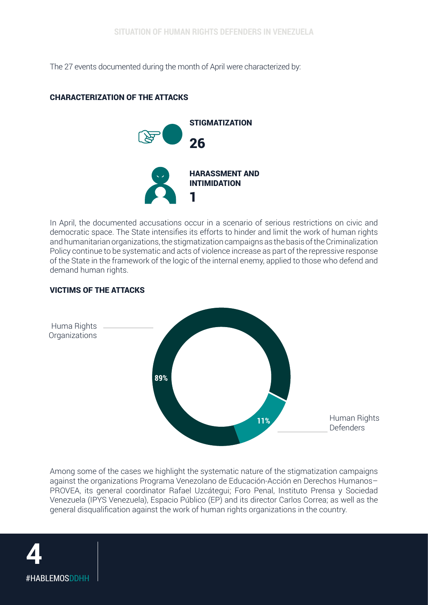The 27 events documented during the month of April were characterized by:

#### CHARACTERIZATION OF THE ATTACKS



In April, the documented accusations occur in a scenario of serious restrictions on civic and democratic space. The State intensifies its efforts to hinder and limit the work of human rights and humanitarian organizations, the stigmatization campaigns as the basis of the Criminalization Policy continue to be systematic and acts of violence increase as part of the repressive response of the State in the framework of the logic of the internal enemy, applied to those who defend and demand human rights.

#### VICTIMS OF THE ATTACKS



Among some of the cases we highlight the systematic nature of the stigmatization campaigns against the organizations Programa Venezolano de Educación-Acción en Derechos Humanos– PROVEA, its general coordinator Rafael Uzcátegui; Foro Penal, Instituto Prensa y Sociedad Venezuela (IPYS Venezuela), Espacio Público (EP) and its director Carlos Correa; as well as the general disqualification against the work of human rights organizations in the country.

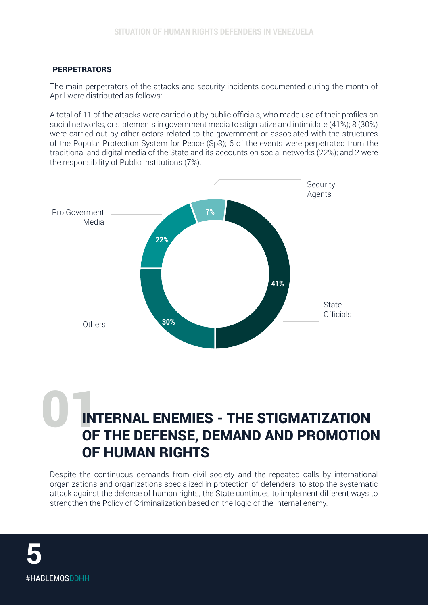#### **PERPETRATORS**

The main perpetrators of the attacks and security incidents documented during the month of April were distributed as follows:

A total of 11 of the attacks were carried out by public officials, who made use of their profiles on social networks, or statements in government media to stigmatize and intimidate (41%); 8 (30%) were carried out by other actors related to the government or associated with the structures of the Popular Protection System for Peace (Sp3); 6 of the events were perpetrated from the traditional and digital media of the State and its accounts on social networks (22%); and 2 were the responsibility of Public Institutions (7%).



### 01INTERNAL ENEMIES - THE STIGMATIZATION OF THE DEFENSE, DEMAND AND PROMOTION OF HUMAN RIGHTS

Despite the continuous demands from civil society and the repeated calls by international organizations and organizations specialized in protection of defenders, to stop the systematic attack against the defense of human rights, the State continues to implement different ways to strengthen the Policy of Criminalization based on the logic of the internal enemy.

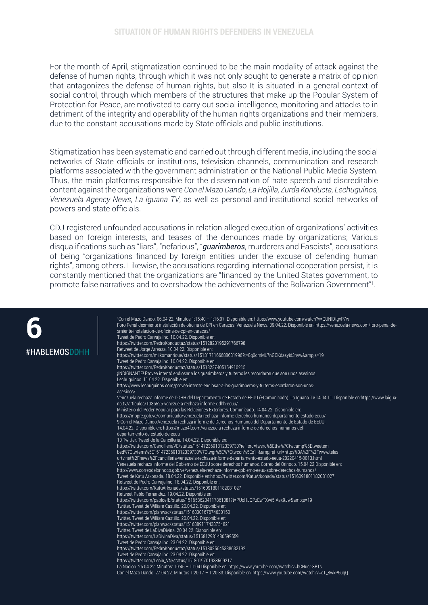For the month of April, stigmatization continued to be the main modality of attack against the defense of human rights, through which it was not only sought to generate a matrix of opinion that antagonizes the defense of human rights, but also It is situated in a general context of social control, through which members of the structures that make up the Popular System of Protection for Peace, are motivated to carry out social intelligence, monitoring and attacks to in detriment of the integrity and operability of the human rights organizations and their members, due to the constant accusations made by State officials and public institutions.

Stigmatization has been systematic and carried out through different media, including the social networks of State officials or institutions, television channels, communication and research platforms associated with the government administration or the National Public Media System. Thus, the main platforms responsible for the dissemination of hate speech and discreditable content against the organizations were *Con el Mazo Dando, La Hojilla, Zurda Konducta, Lechuguinos, Venezuela Agency News, La Iguana TV*, as well as personal and institutional social networks of powers and state officials.

CDJ registered unfounded accusations in relation alleged execution of organizations' activities based on foreign interests, and teases of the denounces made by organizations; Various disqualifications such as "liars", "nefarious", "*guarimberos*, murderers and Fascists", accusations of being "organizations financed by foreign entities under the excuse of defending human rights", among others. Likewise, the accusations regarding international cooperation persist, it is constantly mentioned that the organizations are "financed by the United States government, to promote false narratives and to overshadow the achievements of the Bolivarian Government"1 .

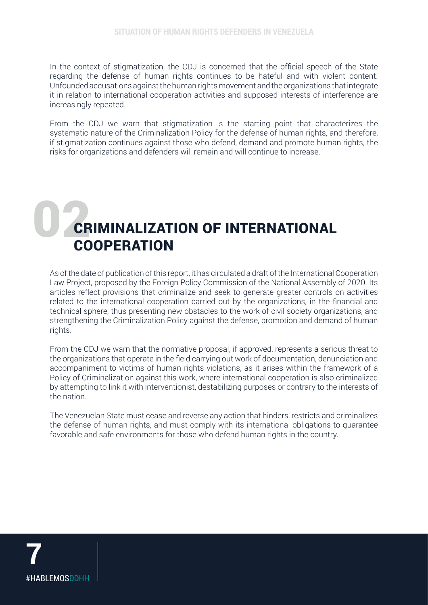In the context of stigmatization, the CDJ is concerned that the official speech of the State regarding the defense of human rights continues to be hateful and with violent content. Unfounded accusations against the human rights movement and the organizations that integrate it in relation to international cooperation activities and supposed interests of interference are increasingly repeated.

From the CDJ we warn that stigmatization is the starting point that characterizes the systematic nature of the Criminalization Policy for the defense of human rights, and therefore, if stigmatization continues against those who defend, demand and promote human rights, the risks for organizations and defenders will remain and will continue to increase.

## CRIMINALIZATION OF INTERNATIONAL **COOPERATION**

As of the date of publication of this report, it has circulated a draft of the International Cooperation Law Project, proposed by the Foreign Policy Commission of the National Assembly of 2020. Its articles reflect provisions that criminalize and seek to generate greater controls on activities related to the international cooperation carried out by the organizations, in the financial and technical sphere, thus presenting new obstacles to the work of civil society organizations, and strengthening the Criminalization Policy against the defense, promotion and demand of human rights.

From the CDJ we warn that the normative proposal, if approved, represents a serious threat to the organizations that operate in the field carrying out work of documentation, denunciation and accompaniment to victims of human rights violations, as it arises within the framework of a Policy of Criminalization against this work, where international cooperation is also criminalized by attempting to link it with interventionist, destabilizing purposes or contrary to the interests of the nation.

The Venezuelan State must cease and reverse any action that hinders, restricts and criminalizes the defense of human rights, and must comply with its international obligations to guarantee favorable and safe environments for those who defend human rights in the country.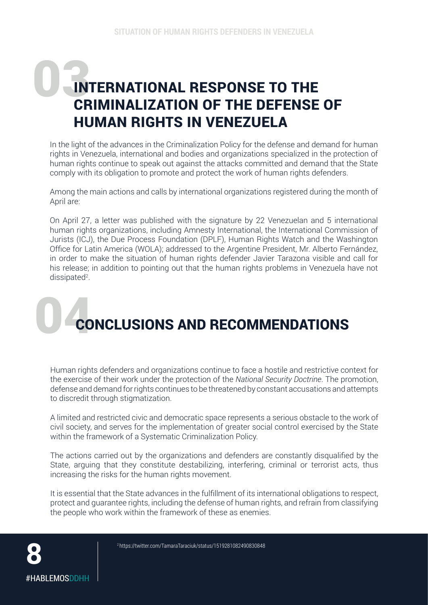### INTERNATIONAL RESPONSE TO THE CRIMINALIZATION OF THE DEFENSE OF HUMAN RIGHTS IN VENEZUELA

In the light of the advances in the Criminalization Policy for the defense and demand for human rights in Venezuela, international and bodies and organizations specialized in the protection of human rights continue to speak out against the attacks committed and demand that the State comply with its obligation to promote and protect the work of human rights defenders.

Among the main actions and calls by international organizations registered during the month of April are:

On April 27, a letter was published with the signature by 22 Venezuelan and 5 international human rights organizations, including Amnesty International, the International Commission of Jurists (ICJ), the Due Process Foundation (DPLF), Human Rights Watch and the Washington Office for Latin America (WOLA); addressed to the Argentine President, Mr. Alberto Fernández, in order to make the situation of human rights defender Javier Tarazona visible and call for his release; in addition to pointing out that the human rights problems in Venezuela have not dissipated<sup>2</sup>.

# **CONCLUSIONS AND RECOMMENDATIONS**

Human rights defenders and organizations continue to face a hostile and restrictive context for the exercise of their work under the protection of the *National Security Doctrine*. The promotion, defense and demand for rights continues to be threatened by constant accusations and attempts to discredit through stigmatization.

A limited and restricted civic and democratic space represents a serious obstacle to the work of civil society, and serves for the implementation of greater social control exercised by the State within the framework of a Systematic Criminalization Policy.

The actions carried out by the organizations and defenders are constantly disqualified by the State, arguing that they constitute destabilizing, interfering, criminal or terrorist acts, thus increasing the risks for the human rights movement.

It is essential that the State advances in the fulfillment of its international obligations to respect, protect and guarantee rights, including the defense of human rights, and refrain from classifying the people who work within the framework of these as enemies.